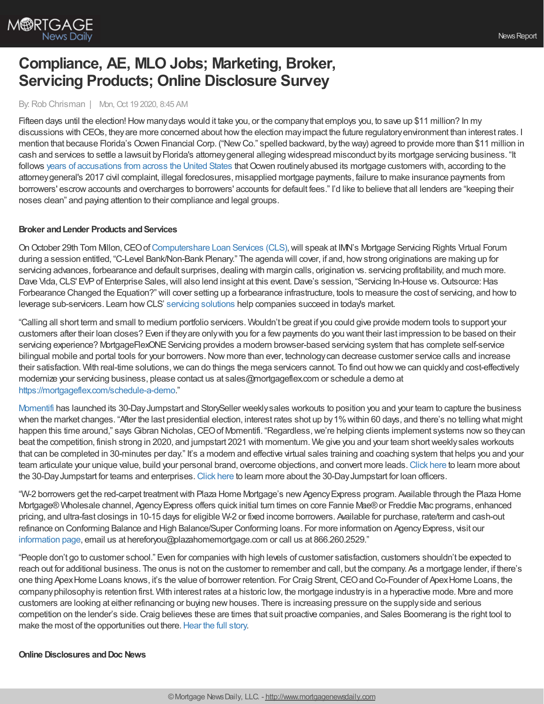

# **Compliance, AE, MLO Jobs; Marketing, Broker, Servicing Products; Online Disclosure Survey**

#### By:Rob Chrisman | Mon, Oct 19 2020, 8:45 AM

Fifteen days until the election! How many days would it take you, or the company that employs you, to save up \$11 million? In my discussions with CEOs, theyare more concerned about howthe election mayimpact the future regulatoryenvironment than interest rates. I mention that because Florida's Ocwen Financial Corp. ("NewCo." spelled backward, bythe way) agreed to provide more than \$11 million in cash and services to settle a lawsuit byFlorida's attorneygeneral alleging widespread misconduct byits mortgage servicing business. "It follows years of [accusations](https://www.northwestgeorgianews.com/associated_press/business/mortgage-servicer-ocwen-will-provide-11-million-in-relief-to-settle-misconduct-claims/article_b5244e03-e681-5219-a88a-ea512ecc0136.html) from across the United States that Ocwen routinely abused its mortgage customers with, according to the attorneygeneral's 2017 civil complaint, illegal foreclosures, misapplied mortgage payments, failure to make insurance payments from borrowers' escrowaccounts and overcharges to borrowers' accounts for default fees." I'd like to believe that all lenders are "keeping their noses clean" and paying attention to their compliance and legal groups.

### **Broker** and Lender Products and Services

On October 29th Tom Millon, CEO of [Computershare](https://www.computershareloanservices.com/us?utm_source=e-newsletter&utm_medium=email&utm_campaign=Chrisman&utm_term=MSR-Virtual-Forum) Loan Services (CLS), will speak at IMN's Mortgage Servicing Rights Virtual Forum during a session entitled, "C-Level Bank/Non-Bank Plenary." The agenda will cover, if and, howstrong originations are making up for servicing advances, forbearance and default surprises, dealing with margin calls, origination vs. servicing profitability, and much more. Dave Vida, CLS' EVP of Enterprise Sales, will also lend insight at this event. Dave's session, "Servicing In-House vs. Outsource: Has Forbearance Changed the Equation?" will cover setting up a forbearance infrastructure, tools to measure the cost of servicing, and howto leverage sub-servicers. Learn howCLS' servicing [solutions](https://www.computershareloanservices.com/us/business/servicing/overview?utm_source=e-newsletter&utm_medium=email&utm_campaign=Chrisman&utm_term=MSR-Virtual-Forum) help companies succeed in today's market.

"Calling all short term and small to medium portfolio servicers. Wouldn't be great if you could give provide modern tools to support your customers after their loan closes? Even if theyare onlywith you for a fewpayments do you want their last impression to be based on their servicing experience? MortgageFlexONE Servicing provides a modern browser-based servicing system that has complete self-service bilingual mobile and portal tools for your borrowers. Now more than ever, technology can decrease customer service calls and increase their satisfaction. With real-time solutions,we can do things the mega servicers cannot. To find out howwe can quicklyand cost-effectively modernize your servicing business, please contact us at sales@mortgageflex.com or schedule a demo at <https://mortgageflex.com/schedule-a-demo>."

[Momentifi](http://momentifi.com/) has launched its 30-DayJumpstart and StorySeller weeklysales workouts to position you and your team to capture the business when the market changes. "After the last presidential election, interest rates shot up by 1% within 60 days, and there's no telling what might happen this time around," says Gibran Nicholas, CEO of Momentifi. "Regardless, we're helping clients implement systems now so they can beat the competition, finish strong in 2020, and jumpstart 2021 with momentum. We give you and your team short weekly sales workouts that can be completed in 30-minutes per day." It's a modern and effective virtual sales training and coaching system that helps you and your team articulate your unique value, build your personal brand, overcome objections, and convert more leads. [Click](https://www.momentifi.com/momentifi/story_selling_team_membership) here to learn more about the 30-DayJumpstart for teams and enterprises.[Click](https://www.momentifi.com/momentifi/thestoryseller) here to learn more about the 30-DayJumpstart for loan officers.

"W-2 borrowers get the red-carpet treatment with Plaza Home Mortgage's new Agency Express program. Available through the Plaza Home Mortgage® Wholesale channel, Agency Express offers quick initial turn times on core Fannie Mae® or Freddie Mac programs, enhanced pricing, and ultra-fast closings in 10-15 days for eligible W-2 or fixed income borrowers. Available for purchase, rate/term and cash-out refinance on Conforming Balance and High Balance/Super Conforming loans. For more information on Agency Express, visit our [information](https://info.plazahomemortgage.com/agency-express?utm_campaign=Wholesale_AgencyExpress_10.19.20&utm_source=Chrisman%20Agency%20Express%20Add%2010.19.20) page, email us at hereforyou@plazahomemortgage.com or call us at 866.260.2529."

"People don't go to customer school." Even for companies with high levels of customer satisfaction, customers shouldn't be expected to reach out for additional business. The onus is not on the customer to remember and call, but the company. As a mortgage lender, if there's one thing Apex Home Loans knows, it's the value of borrower retention. For Craig Strent, CEO and Co-Founder of Apex Home Loans, the companyphilosophyis retention first. With interest rates at a historic low, the mortgage industryis in a hyperactive mode. More and more customers are looking at either refinancing or buying newhouses. There is increasing pressure on the supplyside and serious competition on the lender's side.Craig believes these are times that suit proactive companies, and Sales Boomerang is the right tool to make the most of the opportunities out there. [Hear](https://blog.salesboomerang.com/customer-stories/retention-first-philosophy) the full story.

### **Online Disclosures andDoc News**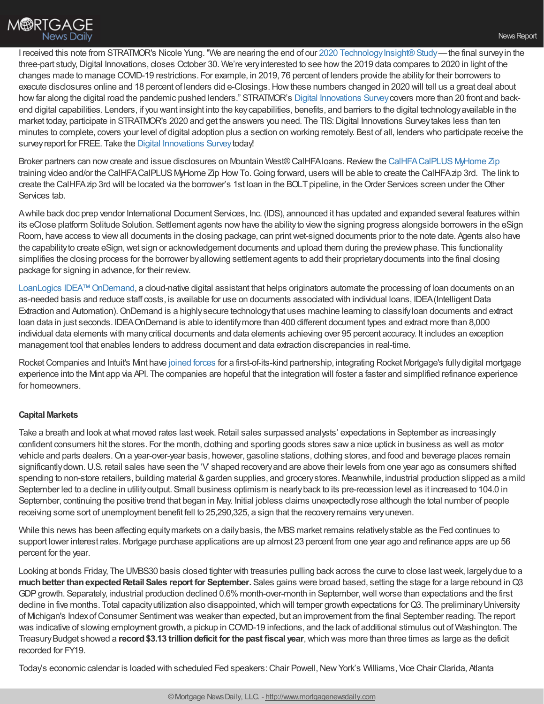I received this note from STRATMOR's Nicole Yung. "We are nearing the end of our 2020 Technology Insight® Study—the final survey in the three-part study, Digital Innovations, closes October 30. We're very interested to see how the 2019 data compares to 2020 in light of the changes made to manage COVID-19 restrictions. For example, in 2019, 76 percent of lenders provide the abilityfor their borrowers to execute disclosures online and 18 percent of lenders did e-Closings. How these numbers changed in 2020 will tell us a great deal about how far along the digital road the pandemic pushed lenders." STRATMOR's Digital [Innovations](https://www.stratmorprograms.com/surveys/Welcome.aspx?s=ad825c5b-dec6-4da9-b3f8-99eb167174ff) Survey covers more than 20 front and backend digital capabilities. Lenders, if you want insight into the keycapabilities, benefits, and barriers to the digital technologyavailable in the market today, participate in STRATMOR's 2020 and get the answers you need. The TIS: Digital Innovations Survey takes less than ten minutes to complete, covers your level of digital adoption plus a section on working remotely. Best of all, lenders who participate receive the survey report for FREE. Take the Digital [Innovations](https://www.stratmorprograms.com/surveys/Welcome.aspx?s=ad825c5b-dec6-4da9-b3f8-99eb167174ff) Survey today!

Broker partners can now create and issue disclosures on Mountain West® CalHFAloans. Review the CalHFACalPLUS MyHome Zip training video and/or the CalHFACalPLUSMyHome Zip HowTo.Going forward, users will be able to create the CalHFAzip 3rd. The link to create the CalHFAzip 3rd will be located via the borrower's 1st loan in the BOLT pipeline, in the Order Services screen under the Other Services tab.

Awhile back doc prep vendor International Document Services, Inc. (IDS), announced it has updated and expanded several features within its eClose platform Solitude Solution. Settlement agents nowhave the abilityto viewthe signing progress alongside borrowers in the eSign Room, have access to view all documents in the closing package, can print wet-signed documents prior to the note date. Agents also have the capabilityto create eSign,wet sign or acknowledgement documents and upload them during the previewphase. This functionality simplifies the closing process for the borrower byallowing settlement agents to add their proprietarydocuments into the final closing package for signing in advance, for their review.

LoanLogics IDEA™ OnDemand, a cloud-native digital assistant that helps originators automate the processing of loan documents on an as-needed basis and reduce staff costs, is available for use on documents associated with individual loans, IDEA (Intelligent Data Extraction and Automation).OnDemand is a highlysecure technologythat uses machine learning to classifyloan documents and extract loan data in just seconds. IDEAOnDemand is able to identifymore than 400 different document types and extract more than 8,000 individual data elements with manycritical documents and data elements achieving over 95 percent accuracy. It includes an exception management tool that enables lenders to address document and data extraction discrepancies in real-time.

Rocket Companies and Intuit's Mint have [joined](https://www.prnewswire.com/news-releases/mint-and-rocket-mortgage-reveal-new-technology-to-foster-the-next-generation-of-financial-empowerment-301152243.html) forces for a first-of-its-kind partnership, integrating Rocket Mortgage's fully digital mortgage experience into the Mint app via API. The companies are hopeful that the integration will foster a faster and simplified refinance experience for homeowners.

## **Capital Markets**

Take a breath and look at what moved rates last week. Retail sales surpassed analysts' expectations in September as increasingly confident consumers hit the stores. For the month, clothing and sporting goods stores sawa nice uptick in business as well as motor vehicle and parts dealers.On a year-over-year basis, however, gasoline stations, clothing stores, and food and beverage places remain significantlydown.U.S. retail sales have seen the 'V' shaped recoveryand are above their levels from one year ago as consumers shifted spending to non-store retailers, building material & garden supplies, and grocery stores. Meanwhile, industrial production slipped as a mild September led to a decline in utility output. Small business optimism is nearly back to its pre-recession level as it increased to 104.0 in September, continuing the positive trend that began in May. Initial jobless claims unexpectedlyrose although the total number of people receiving some sort of unemployment benefit fell to 25,290,325, a sign that the recoveryremains veryuneven.

While this news has been affecting equitymarkets on a daily basis, the MBS market remains relatively stable as the Fed continues to support lower interest rates. Mortgage purchase applications are up almost 23 percent from one year ago and refinance apps are up 56 percent for the year.

Looking at bonds Friday, The UMBS30 basis closed tighter with treasuries pulling back across the curve to close lastweek, largelydue to a **muchbetter thanexpectedRetail Sales report for September.** Sales gains were broad based, setting the stage for a large rebound inQ3 GDP growth. Separately, industrial production declined 0.6% month-over-month in September, well worse than expectations and the first decline in five months. Total capacity utilization also disappointed, which will temper growth expectations for Q3. The preliminary University of Michigan's IndexofConsumer Sentimentwas weaker than expected, but an improvement from the final September reading. The report was indicative of slowing employment growth, a pickup in COVID-19 infections, and the lack of additional stimulus out of Washington. The TreasuryBudget showed a **record\$3.13 trilliondeficit for the past fiscal year**,which was more than three times as large as the deficit recorded for FY19.

Today's economic calendar is loaded with scheduled Fed speakers: Chair Powell, New York's Williams, Vice Chair Clarida, Atlanta